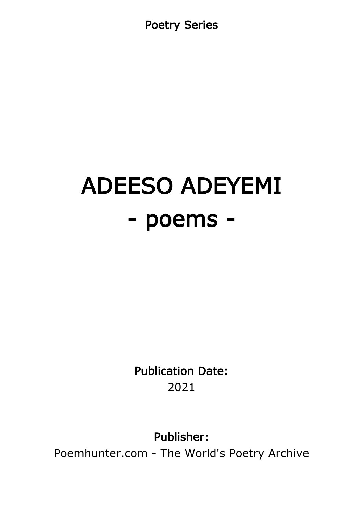Poetry Series

# ADEESO ADEYEMI - poems -

Publication Date: 2021

Publisher:

Poemhunter.com - The World's Poetry Archive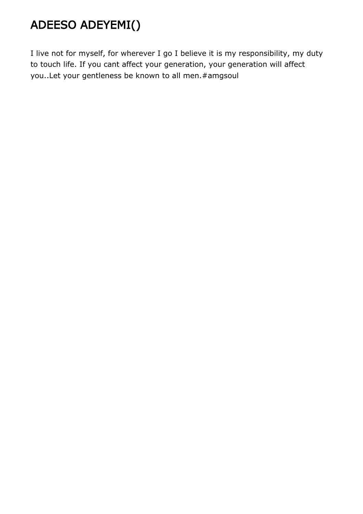# ADEESO ADEYEMI()

I live not for myself, for wherever I go I believe it is my responsibility, my duty to touch life. If you cant affect your generation, your generation will affect you..Let your gentleness be known to all men.#amgsoul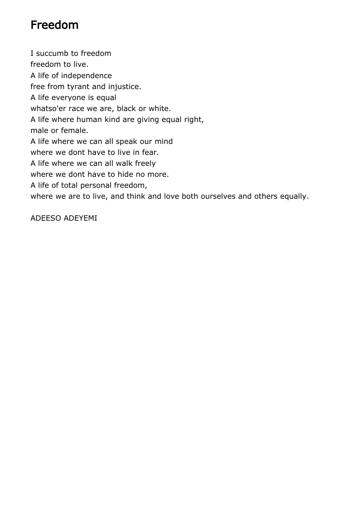#### Freedom

I succumb to freedom freedom to live. A life of independence free from tyrant and injustice. A life everyone is equal whatso'er race we are, black or white. A life where human kind are giving equal right, male or female. A life where we can all speak our mind where we dont have to live in fear. A life where we can all walk freely where we dont have to hide no more. A life of total personal freedom, where we are to live, and think and love both ourselves and others equally.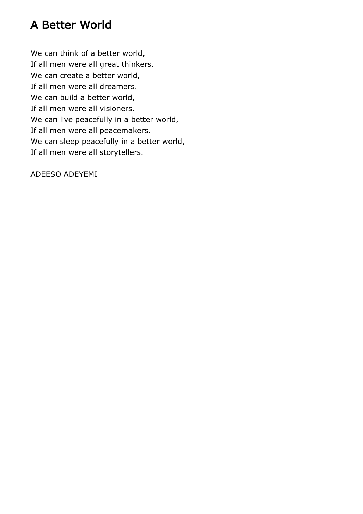#### A Better World

We can think of a better world, If all men were all great thinkers. We can create a better world, If all men were all dreamers. We can build a better world, If all men were all visioners. We can live peacefully in a better world, If all men were all peacemakers. We can sleep peacefully in a better world, If all men were all storytellers.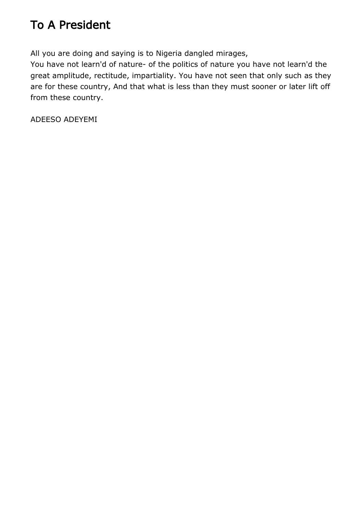## To A President

All you are doing and saying is to Nigeria dangled mirages,

You have not learn'd of nature- of the politics of nature you have not learn'd the great amplitude, rectitude, impartiality. You have not seen that only such as they are for these country, And that what is less than they must sooner or later lift off from these country.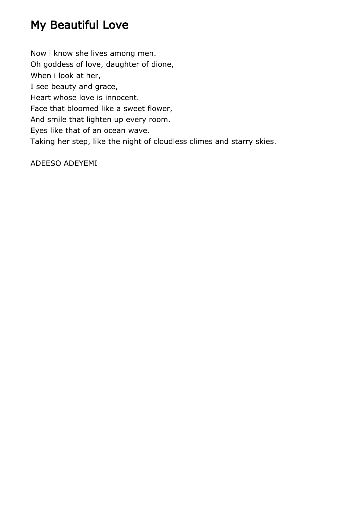#### My Beautiful Love

Now i know she lives among men. Oh goddess of love, daughter of dione, When i look at her, I see beauty and grace, Heart whose love is innocent. Face that bloomed like a sweet flower, And smile that lighten up every room. Eyes like that of an ocean wave. Taking her step, like the night of cloudless climes and starry skies.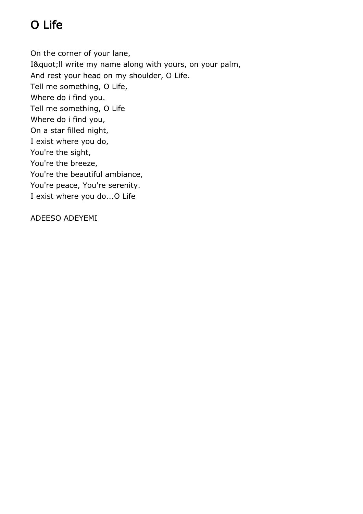# O Life

On the corner of your lane, I" II write my name along with yours, on your palm, And rest your head on my shoulder, O Life. Tell me something, O Life, Where do i find you. Tell me something, O Life Where do i find you, On a star filled night, I exist where you do, You're the sight, You're the breeze, You're the beautiful ambiance, You're peace, You're serenity. I exist where you do...O Life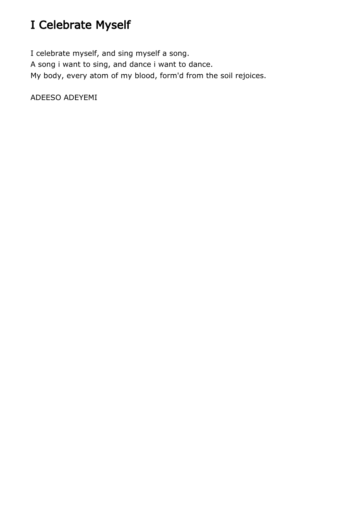# I Celebrate Myself

I celebrate myself, and sing myself a song. A song i want to sing, and dance i want to dance. My body, every atom of my blood, form'd from the soil rejoices.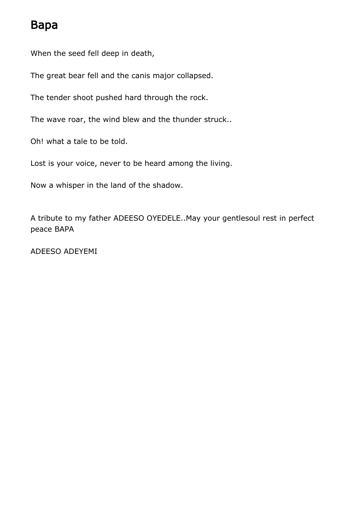#### Bapa

When the seed fell deep in death,

The great bear fell and the canis major collapsed.

The tender shoot pushed hard through the rock.

The wave roar, the wind blew and the thunder struck..

Oh! what a tale to be told.

Lost is your voice, never to be heard among the living.

Now a whisper in the land of the shadow.

A tribute to my father ADEESO OYEDELE..May your gentlesoul rest in perfect peace BAPA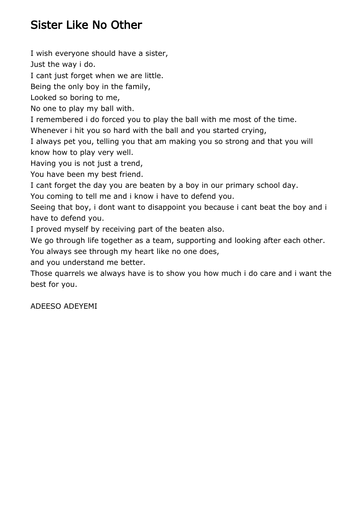### Sister Like No Other

I wish everyone should have a sister,

Just the way i do.

I cant just forget when we are little.

Being the only boy in the family,

Looked so boring to me,

No one to play my ball with.

I remembered i do forced you to play the ball with me most of the time.

Whenever i hit you so hard with the ball and you started crying,

I always pet you, telling you that am making you so strong and that you will know how to play very well.

Having you is not just a trend,

You have been my best friend.

I cant forget the day you are beaten by a boy in our primary school day.

You coming to tell me and i know i have to defend you.

Seeing that boy, i dont want to disappoint you because i cant beat the boy and i have to defend you.

I proved myself by receiving part of the beaten also.

We go through life together as a team, supporting and looking after each other.

You always see through my heart like no one does,

and you understand me better.

Those quarrels we always have is to show you how much i do care and i want the best for you.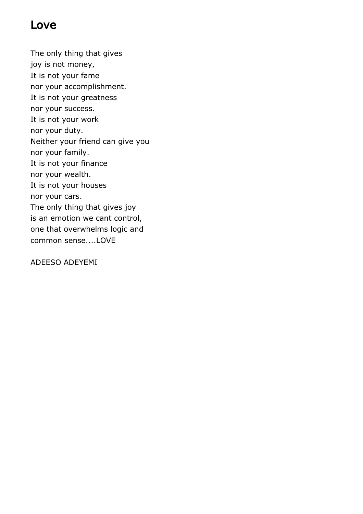#### Love

The only thing that gives joy is not money, It is not your fame nor your accomplishment. It is not your greatness nor your success. It is not your work nor your duty. Neither your friend can give you nor your family. It is not your finance nor your wealth. It is not your houses nor your cars. The only thing that gives joy is an emotion we cant control, one that overwhelms logic and common sense....LOVE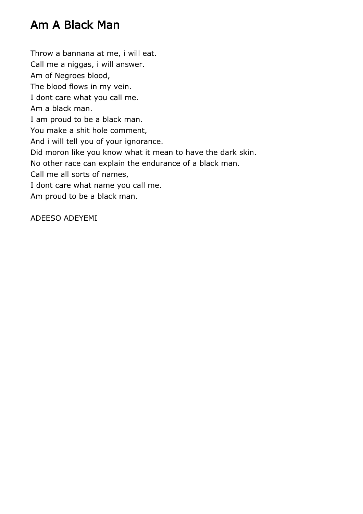#### Am A Black Man

Throw a bannana at me, i will eat. Call me a niggas, i will answer. Am of Negroes blood, The blood flows in my vein. I dont care what you call me. Am a black man. I am proud to be a black man. You make a shit hole comment, And i will tell you of your ignorance. Did moron like you know what it mean to have the dark skin. No other race can explain the endurance of a black man. Call me all sorts of names, I dont care what name you call me. Am proud to be a black man.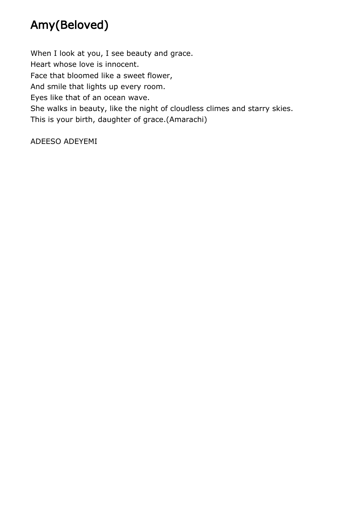# Amy(Beloved)

When I look at you, I see beauty and grace. Heart whose love is innocent. Face that bloomed like a sweet flower, And smile that lights up every room. Eyes like that of an ocean wave. She walks in beauty, like the night of cloudless climes and starry skies. This is your birth, daughter of grace.(Amarachi)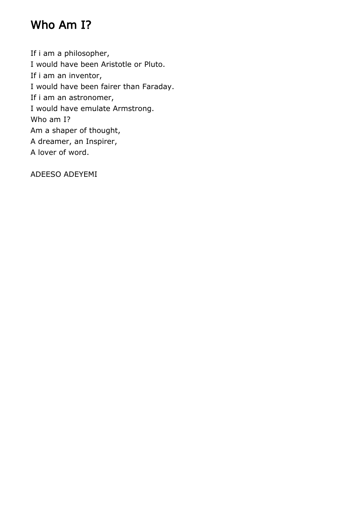#### Who Am I?

If i am a philosopher, I would have been Aristotle or Pluto. If i am an inventor, I would have been fairer than Faraday. If i am an astronomer, I would have emulate Armstrong. Who am I? Am a shaper of thought, A dreamer, an Inspirer, A lover of word.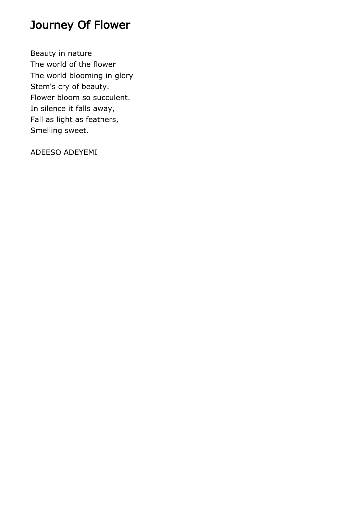#### Journey Of Flower

Beauty in nature The world of the flower The world blooming in glory Stem's cry of beauty. Flower bloom so succulent. In silence it falls away, Fall as light as feathers, Smelling sweet.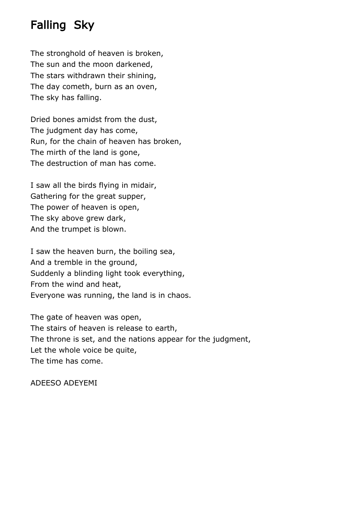#### Falling Sky

The stronghold of heaven is broken, The sun and the moon darkened, The stars withdrawn their shining, The day cometh, burn as an oven, The sky has falling.

Dried bones amidst from the dust, The judgment day has come, Run, for the chain of heaven has broken, The mirth of the land is gone, The destruction of man has come.

I saw all the birds flying in midair, Gathering for the great supper, The power of heaven is open, The sky above grew dark, And the trumpet is blown.

I saw the heaven burn, the boiling sea, And a tremble in the ground, Suddenly a blinding light took everything, From the wind and heat, Everyone was running, the land is in chaos.

The gate of heaven was open, The stairs of heaven is release to earth, The throne is set, and the nations appear for the judgment, Let the whole voice be quite, The time has come.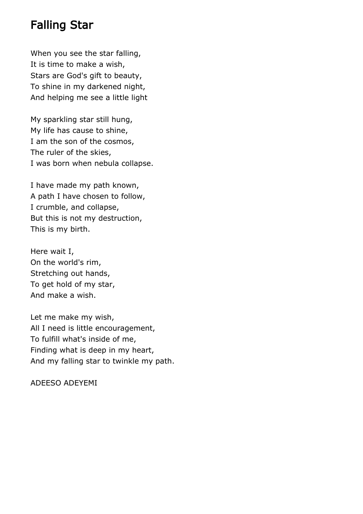#### Falling Star

When you see the star falling, It is time to make a wish, Stars are God's gift to beauty, To shine in my darkened night, And helping me see a little light

My sparkling star still hung, My life has cause to shine, I am the son of the cosmos, The ruler of the skies, I was born when nebula collapse.

I have made my path known, A path I have chosen to follow, I crumble, and collapse, But this is not my destruction, This is my birth.

Here wait I, On the world's rim, Stretching out hands, To get hold of my star, And make a wish.

Let me make my wish, All I need is little encouragement, To fulfill what's inside of me, Finding what is deep in my heart, And my falling star to twinkle my path.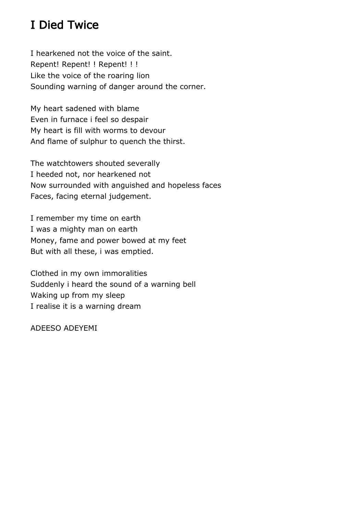#### I Died Twice

I hearkened not the voice of the saint. Repent! Repent! ! Repent! ! ! Like the voice of the roaring lion Sounding warning of danger around the corner.

My heart sadened with blame Even in furnace i feel so despair My heart is fill with worms to devour And flame of sulphur to quench the thirst.

The watchtowers shouted severally I heeded not, nor hearkened not Now surrounded with anguished and hopeless faces Faces, facing eternal judgement.

I remember my time on earth I was a mighty man on earth Money, fame and power bowed at my feet But with all these, i was emptied.

Clothed in my own immoralities Suddenly i heard the sound of a warning bell Waking up from my sleep I realise it is a warning dream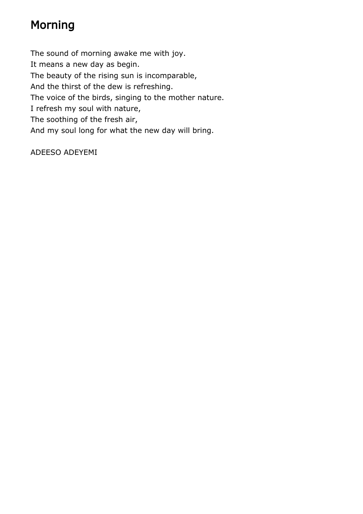## Morning

The sound of morning awake me with joy. It means a new day as begin. The beauty of the rising sun is incomparable, And the thirst of the dew is refreshing. The voice of the birds, singing to the mother nature. I refresh my soul with nature, The soothing of the fresh air, And my soul long for what the new day will bring.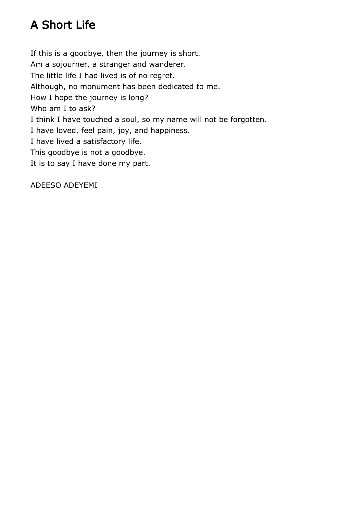# A Short Life

If this is a goodbye, then the journey is short. Am a sojourner, a stranger and wanderer. The little life I had lived is of no regret. Although, no monument has been dedicated to me. How I hope the journey is long? Who am I to ask? I think I have touched a soul, so my name will not be forgotten. I have loved, feel pain, joy, and happiness. I have lived a satisfactory life. This goodbye is not a goodbye. It is to say I have done my part.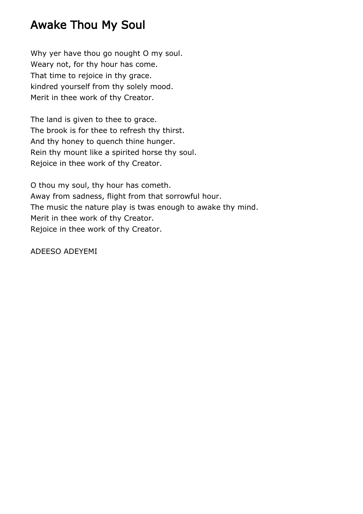#### Awake Thou My Soul

Why yer have thou go nought O my soul. Weary not, for thy hour has come. That time to rejoice in thy grace. kindred yourself from thy solely mood. Merit in thee work of thy Creator.

The land is given to thee to grace. The brook is for thee to refresh thy thirst. And thy honey to quench thine hunger. Rein thy mount like a spirited horse thy soul. Rejoice in thee work of thy Creator.

O thou my soul, thy hour has cometh. Away from sadness, flight from that sorrowful hour. The music the nature play is twas enough to awake thy mind. Merit in thee work of thy Creator. Rejoice in thee work of thy Creator.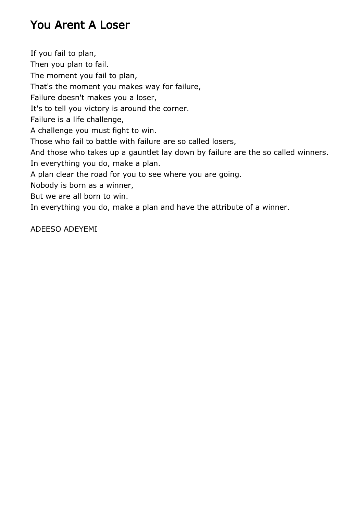#### You Arent A Loser

If you fail to plan, Then you plan to fail. The moment you fail to plan, That's the moment you makes way for failure, Failure doesn't makes you a loser, It's to tell you victory is around the corner. Failure is a life challenge, A challenge you must fight to win. Those who fail to battle with failure are so called losers, And those who takes up a gauntlet lay down by failure are the so called winners. In everything you do, make a plan. A plan clear the road for you to see where you are going. Nobody is born as a winner, But we are all born to win. In everything you do, make a plan and have the attribute of a winner.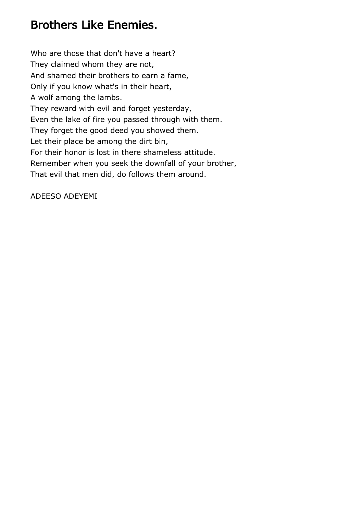#### Brothers Like Enemies.

Who are those that don't have a heart? They claimed whom they are not, And shamed their brothers to earn a fame, Only if you know what's in their heart, A wolf among the lambs. They reward with evil and forget yesterday, Even the lake of fire you passed through with them. They forget the good deed you showed them. Let their place be among the dirt bin, For their honor is lost in there shameless attitude. Remember when you seek the downfall of your brother, That evil that men did, do follows them around.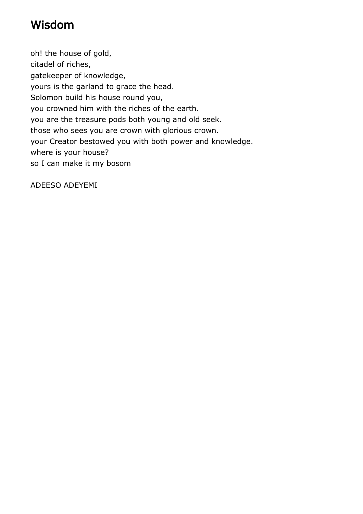#### Wisdom

oh! the house of gold, citadel of riches, gatekeeper of knowledge, yours is the garland to grace the head. Solomon build his house round you, you crowned him with the riches of the earth. you are the treasure pods both young and old seek. those who sees you are crown with glorious crown. your Creator bestowed you with both power and knowledge. where is your house? so I can make it my bosom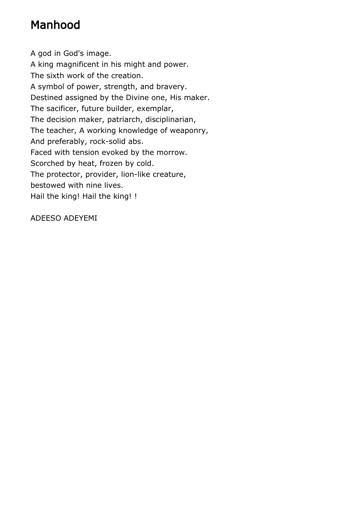### Manhood

A god in God's image. A king magnificent in his might and power. The sixth work of the creation. A symbol of power, strength, and bravery. Destined assigned by the Divine one, His maker. The sacificer, future builder, exemplar, The decision maker, patriarch, disciplinarian, The teacher, A working knowledge of weaponry, And preferably, rock-solid abs. Faced with tension evoked by the morrow. Scorched by heat, frozen by cold. The protector, provider, lion-like creature, bestowed with nine lives. Hail the king! Hail the king! !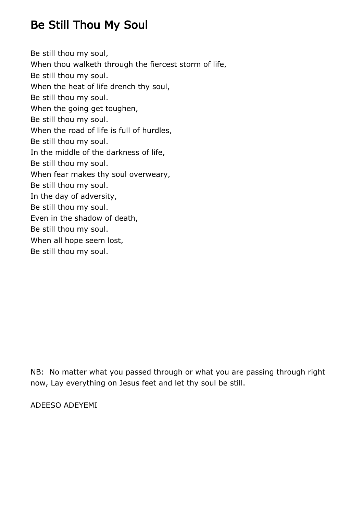#### Be Still Thou My Soul

Be still thou my soul, When thou walketh through the fiercest storm of life, Be still thou my soul. When the heat of life drench thy soul, Be still thou my soul. When the going get toughen, Be still thou my soul. When the road of life is full of hurdles, Be still thou my soul. In the middle of the darkness of life, Be still thou my soul. When fear makes thy soul overweary, Be still thou my soul. In the day of adversity, Be still thou my soul. Even in the shadow of death, Be still thou my soul. When all hope seem lost, Be still thou my soul.

NB: No matter what you passed through or what you are passing through right now, Lay everything on Jesus feet and let thy soul be still.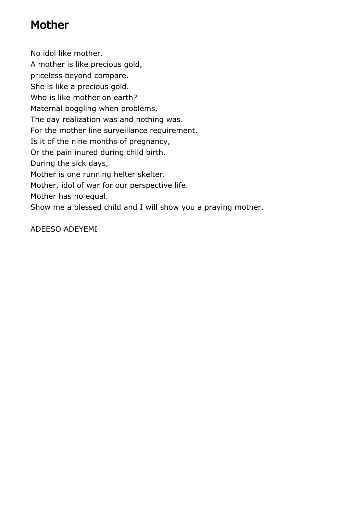#### Mother

No idol like mother. A mother is like precious gold, priceless beyond compare. She is like a precious gold. Who is like mother on earth? Maternal boggling when problems, The day realization was and nothing was. For the mother line surveillance requirement. Is it of the nine months of pregnancy, Or the pain inured during child birth. During the sick days, Mother is one running helter skelter. Mother, idol of war for our perspective life. Mother has no equal. Show me a blessed child and I will show you a praying mother.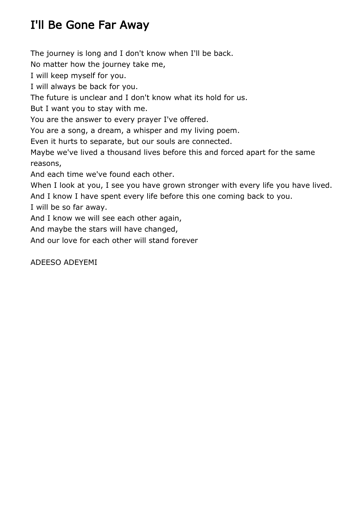## I'll Be Gone Far Away

The journey is long and I don't know when I'll be back.

No matter how the journey take me,

I will keep myself for you.

I will always be back for you.

The future is unclear and I don't know what its hold for us.

But I want you to stay with me.

You are the answer to every prayer I've offered.

You are a song, a dream, a whisper and my living poem.

Even it hurts to separate, but our souls are connected.

Maybe we've lived a thousand lives before this and forced apart for the same reasons,

And each time we've found each other.

When I look at you, I see you have grown stronger with every life you have lived.

And I know I have spent every life before this one coming back to you.

I will be so far away.

And I know we will see each other again,

And maybe the stars will have changed,

And our love for each other will stand forever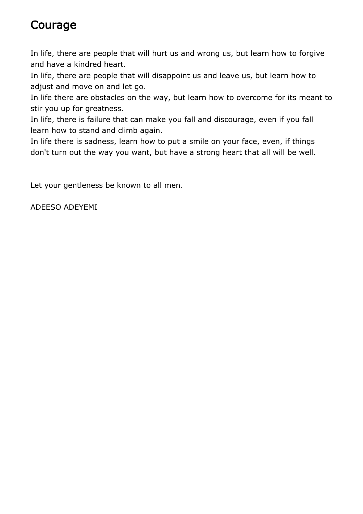#### Courage

In life, there are people that will hurt us and wrong us, but learn how to forgive and have a kindred heart.

In life, there are people that will disappoint us and leave us, but learn how to adjust and move on and let go.

In life there are obstacles on the way, but learn how to overcome for its meant to stir you up for greatness.

In life, there is failure that can make you fall and discourage, even if you fall learn how to stand and climb again.

In life there is sadness, learn how to put a smile on your face, even, if things don't turn out the way you want, but have a strong heart that all will be well.

Let your gentleness be known to all men.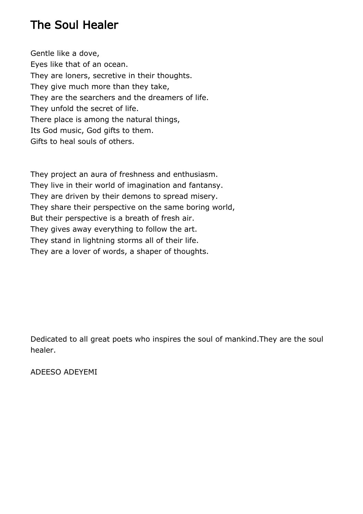#### The Soul Healer

Gentle like a dove, Eyes like that of an ocean. They are loners, secretive in their thoughts. They give much more than they take, They are the searchers and the dreamers of life. They unfold the secret of life. There place is among the natural things, Its God music, God gifts to them. Gifts to heal souls of others.

They project an aura of freshness and enthusiasm. They live in their world of imagination and fantansy. They are driven by their demons to spread misery. They share their perspective on the same boring world, But their perspective is a breath of fresh air. They gives away everything to follow the art. They stand in lightning storms all of their life. They are a lover of words, a shaper of thoughts.

Dedicated to all great poets who inspires the soul of mankind.They are the soul healer.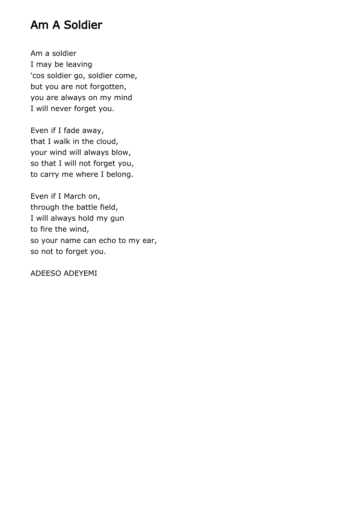#### Am A Soldier

Am a soldier I may be leaving 'cos soldier go, soldier come, but you are not forgotten, you are always on my mind I will never forget you.

Even if I fade away, that I walk in the cloud, your wind will always blow, so that I will not forget you, to carry me where I belong.

Even if I March on, through the battle field, I will always hold my gun to fire the wind, so your name can echo to my ear, so not to forget you.